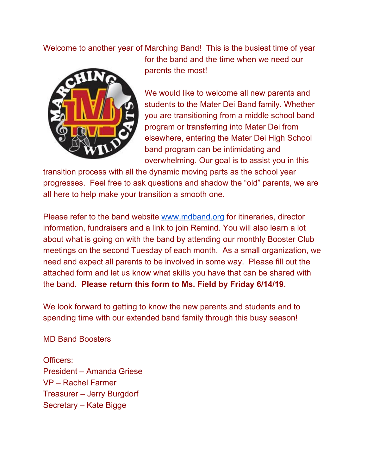Welcome to another year of Marching Band! This is the busiest time of year



for the band and the time when we need our parents the most!

We would like to welcome all new parents and students to the Mater Dei Band family. Whether you are transitioning from a middle school band program or transferring into Mater Dei from elsewhere, entering the Mater Dei High School band program can be intimidating and overwhelming. Our goal is to assist you in this

transition process with all the dynamic moving parts as the school year progresses. Feel free to ask questions and shadow the "old" parents, we are all here to help make your transition a smooth one.

Please refer to the band website [www.mdband.org](http://www.mdband.org/) for itineraries, director information, fundraisers and a link to join Remind. You will also learn a lot about what is going on with the band by attending our monthly Booster Club meetings on the second Tuesday of each month. As a small organization, we need and expect all parents to be involved in some way. Please fill out the attached form and let us know what skills you have that can be shared with the band. **Please return this form to Ms. Field by Friday 6/14/19**.

We look forward to getting to know the new parents and students and to spending time with our extended band family through this busy season!

MD Band Boosters

Officers: President – Amanda Griese VP – Rachel Farmer Treasurer – Jerry Burgdorf Secretary – Kate Bigge